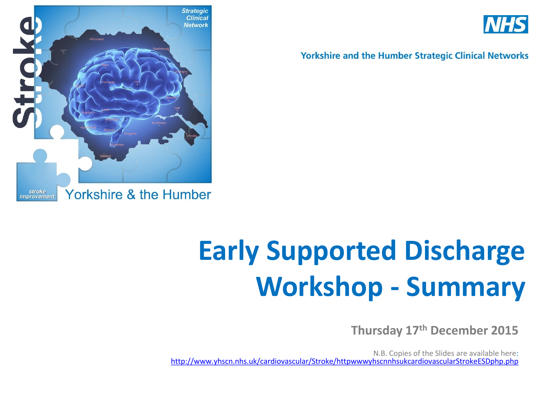



**Yorkshire and the Humber Strategic Clinical Networks** 

# **Early Supported Discharge Workshop - Summary**

**Thursday 17th December 2015**

N.B. Copies of the Slides are available here: <http://www.yhscn.nhs.uk/cardiovascular/Stroke/httpwwwyhscnnhsukcardiovascularStrokeESDphp.php>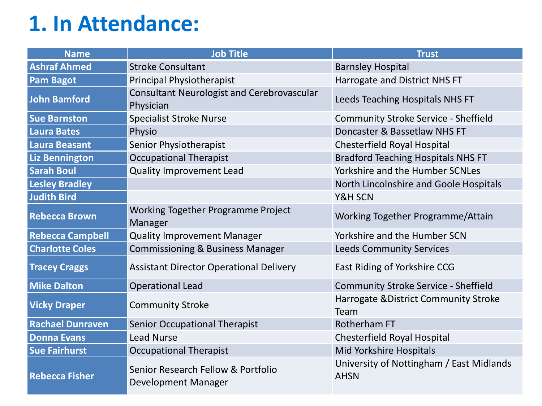### **1. In Attendance:**

| <b>Name</b>             | <b>Job Title</b>                                               | <b>Trust</b>                                            |  |  |
|-------------------------|----------------------------------------------------------------|---------------------------------------------------------|--|--|
| <b>Ashraf Ahmed</b>     | <b>Stroke Consultant</b>                                       | <b>Barnsley Hospital</b>                                |  |  |
| <b>Pam Bagot</b>        | <b>Principal Physiotherapist</b>                               | Harrogate and District NHS FT                           |  |  |
| John Bamford            | <b>Consultant Neurologist and Cerebrovascular</b><br>Physician | Leeds Teaching Hospitals NHS FT                         |  |  |
| <b>Sue Barnston</b>     | <b>Specialist Stroke Nurse</b>                                 | <b>Community Stroke Service - Sheffield</b>             |  |  |
| <b>Laura Bates</b>      | Physio                                                         | Doncaster & Bassetlaw NHS FT                            |  |  |
| <b>Laura Beasant</b>    | Senior Physiotherapist                                         | Chesterfield Royal Hospital                             |  |  |
| Liz Bennington          | <b>Occupational Therapist</b>                                  | <b>Bradford Teaching Hospitals NHS FT</b>               |  |  |
| <b>Sarah Boul</b>       | <b>Quality Improvement Lead</b>                                | Yorkshire and the Humber SCNLes                         |  |  |
| <b>Lesley Bradley</b>   |                                                                | North Lincolnshire and Goole Hospitals                  |  |  |
| <b>Judith Bird</b>      |                                                                | Y&H SCN                                                 |  |  |
| <b>Rebecca Brown</b>    | Working Together Programme Project<br>Manager                  | Working Together Programme/Attain                       |  |  |
| <b>Rebecca Campbell</b> | <b>Quality Improvement Manager</b>                             | Yorkshire and the Humber SCN                            |  |  |
| <b>Charlotte Coles</b>  | <b>Commissioning &amp; Business Manager</b>                    | <b>Leeds Community Services</b>                         |  |  |
| <b>Tracey Craggs</b>    | <b>Assistant Director Operational Delivery</b>                 | East Riding of Yorkshire CCG                            |  |  |
| <b>Mike Dalton</b>      | <b>Operational Lead</b>                                        | <b>Community Stroke Service - Sheffield</b>             |  |  |
| <b>Vicky Draper</b>     | <b>Community Stroke</b>                                        | Harrogate & District Community Stroke<br>Team           |  |  |
| <b>Rachael Dunraven</b> | <b>Senior Occupational Therapist</b>                           | <b>Rotherham FT</b>                                     |  |  |
| <b>Donna Evans</b>      | <b>Lead Nurse</b>                                              | Chesterfield Royal Hospital                             |  |  |
| <b>Sue Fairhurst</b>    | <b>Occupational Therapist</b>                                  | Mid Yorkshire Hospitals                                 |  |  |
| <b>Rebecca Fisher</b>   | Senior Research Fellow & Portfolio<br>Development Manager      | University of Nottingham / East Midlands<br><b>AHSN</b> |  |  |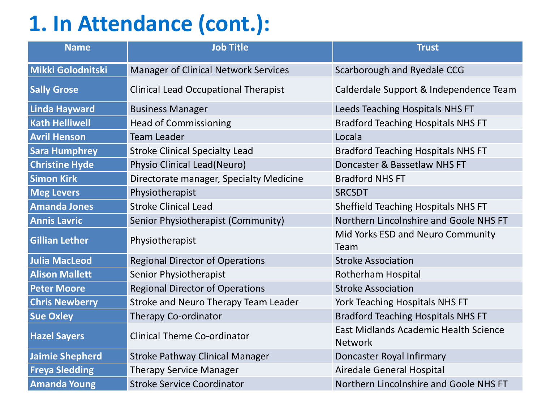## **1. In Attendance (cont.):**

| <b>Name</b>            | <b>Job Title</b>                            | <b>Trust</b>                                            |  |  |
|------------------------|---------------------------------------------|---------------------------------------------------------|--|--|
| Mikki Golodnitski      | <b>Manager of Clinical Network Services</b> | Scarborough and Ryedale CCG                             |  |  |
| <b>Sally Grose</b>     | <b>Clinical Lead Occupational Therapist</b> | Calderdale Support & Independence Team                  |  |  |
| <b>Linda Hayward</b>   | <b>Business Manager</b>                     | Leeds Teaching Hospitals NHS FT                         |  |  |
| <b>Kath Helliwell</b>  | <b>Head of Commissioning</b>                | <b>Bradford Teaching Hospitals NHS FT</b>               |  |  |
| <b>Avril Henson</b>    | <b>Team Leader</b>                          | Locala                                                  |  |  |
| <b>Sara Humphrey</b>   | <b>Stroke Clinical Specialty Lead</b>       | <b>Bradford Teaching Hospitals NHS FT</b>               |  |  |
| <b>Christine Hyde</b>  | Physio Clinical Lead(Neuro)                 | Doncaster & Bassetlaw NHS FT                            |  |  |
| <b>Simon Kirk</b>      | Directorate manager, Specialty Medicine     | <b>Bradford NHS FT</b>                                  |  |  |
| <b>Meg Levers</b>      | Physiotherapist                             | <b>SRCSDT</b>                                           |  |  |
| <b>Amanda Jones</b>    | <b>Stroke Clinical Lead</b>                 | Sheffield Teaching Hospitals NHS FT                     |  |  |
| <b>Annis Lavric</b>    | Senior Physiotherapist (Community)          | Northern Lincolnshire and Goole NHS FT                  |  |  |
| <b>Gillian Lether</b>  | Physiotherapist                             | Mid Yorks ESD and Neuro Community<br>Team               |  |  |
| <b>Julia MacLeod</b>   | <b>Regional Director of Operations</b>      | <b>Stroke Association</b>                               |  |  |
| <b>Alison Mallett</b>  | Senior Physiotherapist                      | Rotherham Hospital                                      |  |  |
| <b>Peter Moore</b>     | <b>Regional Director of Operations</b>      | <b>Stroke Association</b>                               |  |  |
| <b>Chris Newberry</b>  | Stroke and Neuro Therapy Team Leader        | York Teaching Hospitals NHS FT                          |  |  |
| <b>Sue Oxley</b>       | Therapy Co-ordinator                        | <b>Bradford Teaching Hospitals NHS FT</b>               |  |  |
| <b>Hazel Sayers</b>    | <b>Clinical Theme Co-ordinator</b>          | East Midlands Academic Health Science<br><b>Network</b> |  |  |
| <b>Jaimie Shepherd</b> | <b>Stroke Pathway Clinical Manager</b>      | Doncaster Royal Infirmary                               |  |  |
| <b>Freya Sledding</b>  | <b>Therapy Service Manager</b>              | Airedale General Hospital                               |  |  |
| <b>Amanda Young</b>    | <b>Stroke Service Coordinator</b>           | Northern Lincolnshire and Goole NHS FT                  |  |  |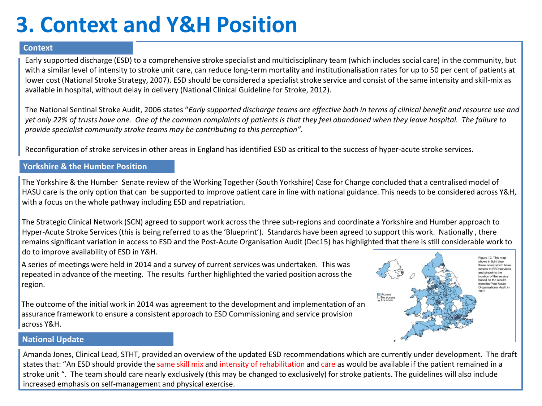### **3. Context and Y&H Position**

#### **Context**

Early supported discharge (ESD) to a comprehensive stroke specialist and multidisciplinary team (which includes social care) in the community, but with a similar level of intensity to stroke unit care, can reduce long-term mortality and institutionalisation rates for up to 50 per cent of patients at lower cost (National Stroke Strategy, 2007). ESD should be considered a specialist stroke service and consist of the same intensity and skill-mix as available in hospital, without delay in delivery (National Clinical Guideline for Stroke, 2012).

The National Sentinal Stroke Audit, 2006 states "*Early supported discharge teams are effective both in terms of clinical benefit and resource use and yet only 22% of trusts have one. One of the common complaints of patients is that they feel abandoned when they leave hospital. The failure to provide specialist community stroke teams may be contributing to this perception".* 

Reconfiguration of stroke services in other areas in England has identified ESD as critical to the success of hyper-acute stroke services.

#### **Yorkshire & the Humber Position**

The Yorkshire & the Humber Senate review of the Working Together (South Yorkshire) Case for Change concluded that a centralised model of HASU care is the only option that can be supported to improve patient care in line with national guidance. This needs to be considered across Y&H, with a focus on the whole pathway including ESD and repatriation.

The Strategic Clinical Network (SCN) agreed to support work across the three sub-regions and coordinate a Yorkshire and Humber approach to Hyper-Acute Stroke Services (this is being referred to as the 'Blueprint'). Standards have been agreed to support this work. Nationally , there remains significant variation in access to ESD and the Post-Acute Organisation Audit (Dec15) has highlighted that there is still considerable work to do to improve availability of ESD in Y&H.

A series of meetings were held in 2014 and a survey of current services was undertaken. This was repeated in advance of the meeting. The results further highlighted the varied position across the region.

The outcome of the initial work in 2014 was agreement to the development and implementation of an assurance framework to ensure a consistent approach to ESD Commissioning and service provision across Y&H.



#### **National Update**

Amanda Jones, Clinical Lead, STHT, provided an overview of the updated ESD recommendations which are currently under development. The draft states that: "An ESD should provide the same skill mix and intensity of rehabilitation and care as would be available if the patient remained in a stroke unit ". The team should care nearly exclusively (this may be changed to exclusively) for stroke patients. The guidelines will also include increased emphasis on self-management and physical exercise.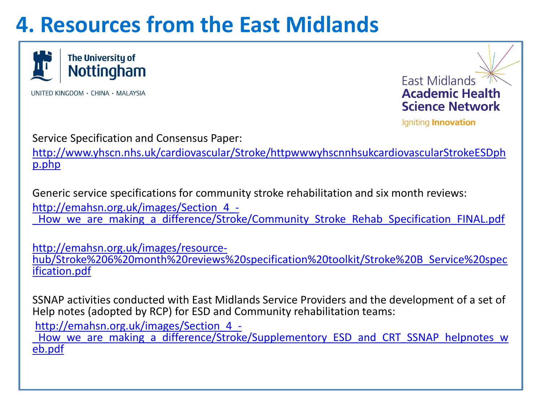### **4. Resources from the East Midlands**



UNITED KINGDOM · CHINA · MALAYSIA



Igniting Innovation

Service Specification and Consensus Paper:

[http://www.yhscn.nhs.uk/cardiovascular/Stroke/httpwwwyhscnnhsukcardiovascularStrokeESDph](http://www.yhscn.nhs.uk/cardiovascular/Stroke/httpwwwyhscnnhsukcardiovascularStrokeESDphp.php) [p.php](http://www.yhscn.nhs.uk/cardiovascular/Stroke/httpwwwyhscnnhsukcardiovascularStrokeESDphp.php)

Generic service specifications for community stroke rehabilitation and six month reviews: [http://emahsn.org.uk/images/Section\\_4\\_-](http://emahsn.org.uk/images/Section_4_-_How_we_are_making_a_difference/Stroke/Community_Stroke_Rehab_Specification_FINAL.pdf) How we are making a difference/Stroke/Community Stroke Rehab Specification FINAL.pdf

[http://emahsn.org.uk/images/resource](http://emahsn.org.uk/images/resource-hub/Stroke 6 month reviews specification toolkit/Stroke B_Service specification.pdf)[hub/Stroke%206%20month%20reviews%20specification%20toolkit/Stroke%20B\\_Service%20spec](http://emahsn.org.uk/images/resource-hub/Stroke 6 month reviews specification toolkit/Stroke B_Service specification.pdf) [ification.pdf](http://emahsn.org.uk/images/resource-hub/Stroke 6 month reviews specification toolkit/Stroke B_Service specification.pdf)

SSNAP activities conducted with East Midlands Service Providers and the development of a set of Help notes (adopted by RCP) for ESD and Community rehabilitation teams:

[http://emahsn.org.uk/images/Section\\_4\\_-](http://emahsn.org.uk/images/Section_4_-_How_we_are_making_a_difference/Stroke/Supplementory_ESD_and_CRT_SSNAP_helpnotes_web.pdf)

How we are making a difference/Stroke/Supplementory ESD and CRT SSNAP helpnotes w [eb.pdf](http://emahsn.org.uk/images/Section_4_-_How_we_are_making_a_difference/Stroke/Supplementory_ESD_and_CRT_SSNAP_helpnotes_web.pdf)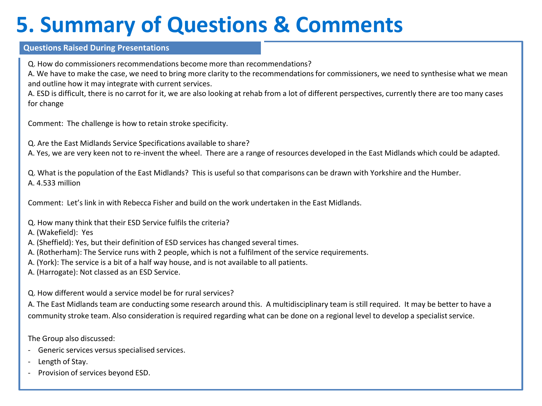### **5. Summary of Questions & Comments**

#### **Questions Raised During Presentations**

Q. How do commissioners recommendations become more than recommendations?

A. We have to make the case, we need to bring more clarity to the recommendations for commissioners, we need to synthesise what we mean and outline how it may integrate with current services.

A. ESD is difficult, there is no carrot for it, we are also looking at rehab from a lot of different perspectives, currently there are too many cases for change

Comment: The challenge is how to retain stroke specificity.

Q. Are the East Midlands Service Specifications available to share?

A. Yes, we are very keen not to re-invent the wheel. There are a range of resources developed in the East Midlands which could be adapted.

Q. What is the population of the East Midlands? This is useful so that comparisons can be drawn with Yorkshire and the Humber. A. 4.533 million

Comment: Let's link in with Rebecca Fisher and build on the work undertaken in the East Midlands.

- Q. How many think that their ESD Service fulfils the criteria?
- A. (Wakefield): Yes
- A. (Sheffield): Yes, but their definition of ESD services has changed several times.
- A. (Rotherham): The Service runs with 2 people, which is not a fulfilment of the service requirements.
- A. (York): The service is a bit of a half way house, and is not available to all patients.
- A. (Harrogate): Not classed as an ESD Service.

#### Q. How different would a service model be for rural services?

A. The East Midlands team are conducting some research around this. A multidisciplinary team is still required. It may be better to have a community stroke team. Also consideration is required regarding what can be done on a regional level to develop a specialist service.

The Group also discussed:

- Generic services versus specialised services.
- Length of Stay.
- Provision of services beyond ESD.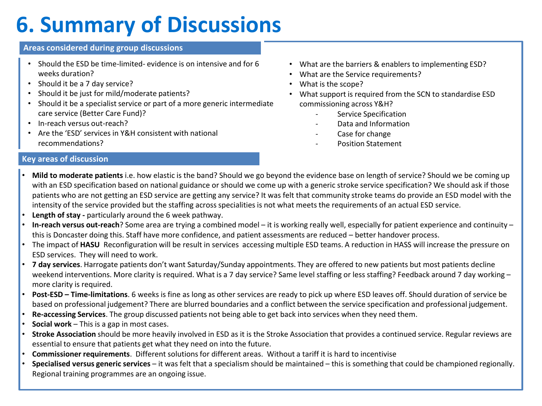### **6. Summary of Discussions**

#### **Areas considered during group discussions**

- Should the ESD be time-limited- evidence is on intensive and for 6 weeks duration?
- Should it be a 7 day service?
- Should it be just for mild/moderate patients?
- Should it be a specialist service or part of a more generic intermediate care service (Better Care Fund)?
- In-reach versus out-reach?
- Are the 'ESD' services in Y&H consistent with national recommendations?
- What are the barriers & enablers to implementing ESD?
- What are the Service requirements?
- What is the scope?
- What support is required from the SCN to standardise ESD commissioning across Y&H?
	- Service Specification
	- Data and Information
	- Case for change
	- Position Statement

#### **Key areas of discussion**

- **Mild to moderate patients** i.e. how elastic is the band? Should we go beyond the evidence base on length of service? Should we be coming up with an ESD specification based on national guidance or should we come up with a generic stroke service specification? We should ask if those patients who are not getting an ESD service are getting any service? It was felt that community stroke teams do provide an ESD model with the intensity of the service provided but the staffing across specialities is not what meets the requirements of an actual ESD service.
- **Length of stay -** particularly around the 6 week pathway.
- **In-reach versus out-reach**? Some area are trying a combined model it is working really well, especially for patient experience and continuity this is Doncaster doing this. Staff have more confidence, and patient assessments are reduced – better handover process.
- The impact of **HASU** Reconfiguration will be result in services accessing multiple ESD teams. A reduction in HASS will increase the pressure on ESD services. They will need to work.
- **7 day services**. Harrogate patients don't want Saturday/Sunday appointments. They are offered to new patients but most patients decline weekend interventions. More clarity is required. What is a 7 day service? Same level staffing or less staffing? Feedback around 7 day working – more clarity is required.
- **Post-ESD – Time-limitations**. 6 weeks is fine as long as other services are ready to pick up where ESD leaves off. Should duration of service be based on professional judgement? There are blurred boundaries and a conflict between the service specification and professional judgement.
- **Re-accessing Services**. The group discussed patients not being able to get back into services when they need them.
- **Social work**  This is a gap in most cases.
- **Stroke Association** should be more heavily involved in ESD as it is the Stroke Association that provides a continued service. Regular reviews are essential to ensure that patients get what they need on into the future.
- **Commissioner requirements**. Different solutions for different areas. Without a tariff it is hard to incentivise
- **Specialised versus generic services**  it was felt that a specialism should be maintained this is something that could be championed regionally. Regional training programmes are an ongoing issue.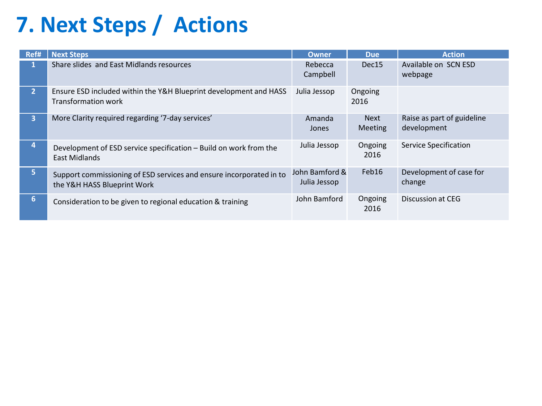## **7. Next Steps / Actions**

| Ref#                     | <b>Next Steps</b>                                                                                  | <b>Owner</b>                   | <b>Due</b>                    | <b>Action</b>                             |
|--------------------------|----------------------------------------------------------------------------------------------------|--------------------------------|-------------------------------|-------------------------------------------|
| 1                        | Share slides and East Midlands resources                                                           | Rebecca<br>Campbell            | Dec15                         | Available on SCN ESD<br>webpage           |
| 2 <sup>1</sup>           | Ensure ESD included within the Y&H Blueprint development and HASS<br><b>Transformation work</b>    | Julia Jessop                   | Ongoing<br>2016               |                                           |
| 3 <sup>1</sup>           | More Clarity required regarding '7-day services'                                                   | Amanda<br>Jones                | <b>Next</b><br><b>Meeting</b> | Raise as part of guideline<br>development |
| $\vert \mathbf{A} \vert$ | Development of ESD service specification - Build on work from the<br>East Midlands                 | Julia Jessop                   | Ongoing<br>2016               | <b>Service Specification</b>              |
| 5.                       | Support commissioning of ESD services and ensure incorporated in to<br>the Y&H HASS Blueprint Work | John Bamford &<br>Julia Jessop | Feb16                         | Development of case for<br>change         |
| 6                        | Consideration to be given to regional education & training                                         | John Bamford                   | Ongoing<br>2016               | Discussion at CEG                         |